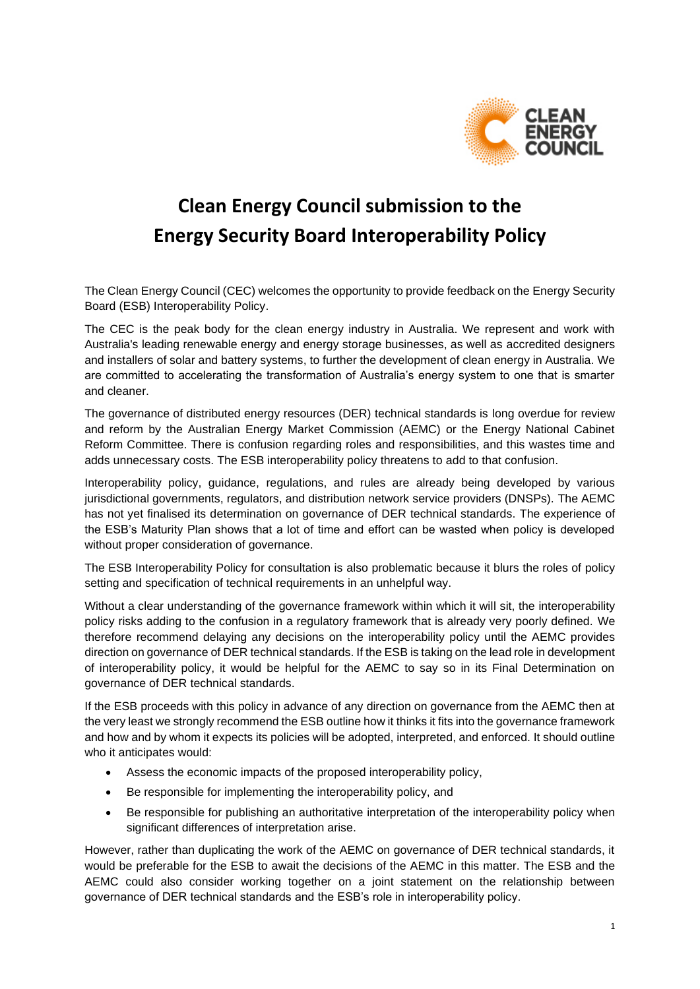

# **Clean Energy Council submission to the Energy Security Board Interoperability Policy**

The Clean Energy Council (CEC) welcomes the opportunity to provide feedback on the Energy Security Board (ESB) Interoperability Policy.

The CEC is the peak body for the clean energy industry in Australia. We represent and work with Australia's leading renewable energy and energy storage businesses, as well as accredited designers and installers of solar and battery systems, to further the development of clean energy in Australia. We are committed to accelerating the transformation of Australia's energy system to one that is smarter and cleaner.

The governance of distributed energy resources (DER) technical standards is long overdue for review and reform by the Australian Energy Market Commission (AEMC) or the Energy National Cabinet Reform Committee. There is confusion regarding roles and responsibilities, and this wastes time and adds unnecessary costs. The ESB interoperability policy threatens to add to that confusion.

Interoperability policy, guidance, regulations, and rules are already being developed by various jurisdictional governments, regulators, and distribution network service providers (DNSPs). The AEMC has not yet finalised its determination on governance of DER technical standards. The experience of the ESB's Maturity Plan shows that a lot of time and effort can be wasted when policy is developed without proper consideration of governance.

The ESB Interoperability Policy for consultation is also problematic because it blurs the roles of policy setting and specification of technical requirements in an unhelpful way.

Without a clear understanding of the governance framework within which it will sit, the interoperability policy risks adding to the confusion in a regulatory framework that is already very poorly defined. We therefore recommend delaying any decisions on the interoperability policy until the AEMC provides direction on governance of DER technical standards. If the ESB is taking on the lead role in development of interoperability policy, it would be helpful for the AEMC to say so in its Final Determination on governance of DER technical standards.

If the ESB proceeds with this policy in advance of any direction on governance from the AEMC then at the very least we strongly recommend the ESB outline how it thinks it fits into the governance framework and how and by whom it expects its policies will be adopted, interpreted, and enforced. It should outline who it anticipates would:

- Assess the economic impacts of the proposed interoperability policy,
- Be responsible for implementing the interoperability policy, and
- Be responsible for publishing an authoritative interpretation of the interoperability policy when significant differences of interpretation arise.

However, rather than duplicating the work of the AEMC on governance of DER technical standards, it would be preferable for the ESB to await the decisions of the AEMC in this matter. The ESB and the AEMC could also consider working together on a joint statement on the relationship between governance of DER technical standards and the ESB's role in interoperability policy.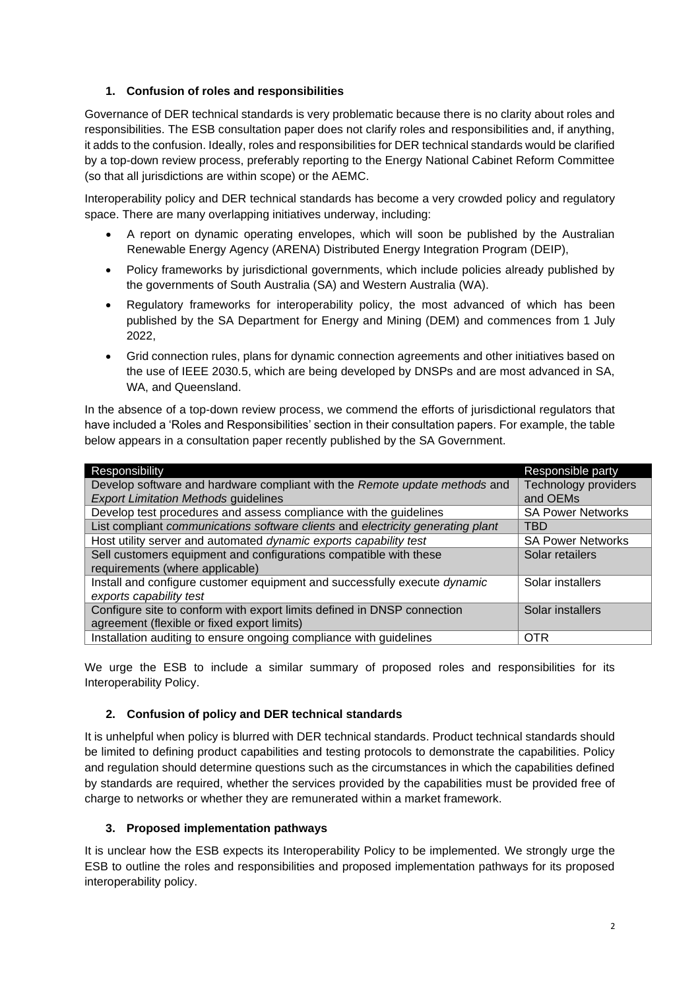# **1. Confusion of roles and responsibilities**

Governance of DER technical standards is very problematic because there is no clarity about roles and responsibilities. The ESB consultation paper does not clarify roles and responsibilities and, if anything, it adds to the confusion. Ideally, roles and responsibilities for DER technical standards would be clarified by a top-down review process, preferably reporting to the Energy National Cabinet Reform Committee (so that all jurisdictions are within scope) or the AEMC.

Interoperability policy and DER technical standards has become a very crowded policy and regulatory space. There are many overlapping initiatives underway, including:

- A report on dynamic operating envelopes, which will soon be published by the Australian Renewable Energy Agency (ARENA) Distributed Energy Integration Program (DEIP),
- Policy frameworks by jurisdictional governments, which include policies already published by the governments of South Australia (SA) and Western Australia (WA).
- Regulatory frameworks for interoperability policy, the most advanced of which has been published by the SA Department for Energy and Mining (DEM) and commences from 1 July 2022,
- Grid connection rules, plans for dynamic connection agreements and other initiatives based on the use of IEEE 2030.5, which are being developed by DNSPs and are most advanced in SA, WA, and Queensland.

In the absence of a top-down review process, we commend the efforts of jurisdictional regulators that have included a 'Roles and Responsibilities' section in their consultation papers. For example, the table below appears in a consultation paper recently published by the SA Government.

| Responsibility                                                                  | Responsible party        |
|---------------------------------------------------------------------------------|--------------------------|
| Develop software and hardware compliant with the Remote update methods and      | Technology providers     |
| <b>Export Limitation Methods guidelines</b>                                     | and OEMs                 |
| Develop test procedures and assess compliance with the guidelines               | <b>SA Power Networks</b> |
| List compliant communications software clients and electricity generating plant | TBD                      |
| Host utility server and automated dynamic exports capability test               | <b>SA Power Networks</b> |
| Sell customers equipment and configurations compatible with these               | Solar retailers          |
| requirements (where applicable)                                                 |                          |
| Install and configure customer equipment and successfully execute dynamic       | Solar installers         |
| exports capability test                                                         |                          |
| Configure site to conform with export limits defined in DNSP connection         | Solar installers         |
| agreement (flexible or fixed export limits)                                     |                          |
| Installation auditing to ensure ongoing compliance with guidelines              | <b>OTR</b>               |

We urge the ESB to include a similar summary of proposed roles and responsibilities for its Interoperability Policy.

#### **2. Confusion of policy and DER technical standards**

It is unhelpful when policy is blurred with DER technical standards. Product technical standards should be limited to defining product capabilities and testing protocols to demonstrate the capabilities. Policy and regulation should determine questions such as the circumstances in which the capabilities defined by standards are required, whether the services provided by the capabilities must be provided free of charge to networks or whether they are remunerated within a market framework.

#### **3. Proposed implementation pathways**

It is unclear how the ESB expects its Interoperability Policy to be implemented. We strongly urge the ESB to outline the roles and responsibilities and proposed implementation pathways for its proposed interoperability policy.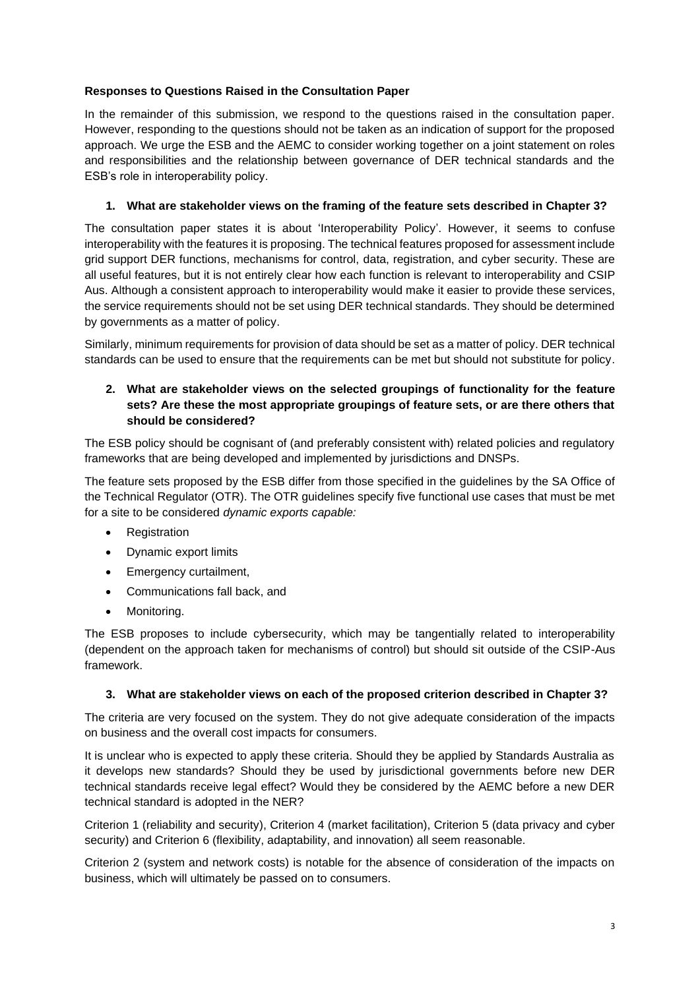# **Responses to Questions Raised in the Consultation Paper**

In the remainder of this submission, we respond to the questions raised in the consultation paper. However, responding to the questions should not be taken as an indication of support for the proposed approach. We urge the ESB and the AEMC to consider working together on a joint statement on roles and responsibilities and the relationship between governance of DER technical standards and the ESB's role in interoperability policy.

# **1. What are stakeholder views on the framing of the feature sets described in Chapter 3?**

The consultation paper states it is about 'Interoperability Policy'. However, it seems to confuse interoperability with the features it is proposing. The technical features proposed for assessment include grid support DER functions, mechanisms for control, data, registration, and cyber security. These are all useful features, but it is not entirely clear how each function is relevant to interoperability and CSIP Aus. Although a consistent approach to interoperability would make it easier to provide these services, the service requirements should not be set using DER technical standards. They should be determined by governments as a matter of policy.

Similarly, minimum requirements for provision of data should be set as a matter of policy. DER technical standards can be used to ensure that the requirements can be met but should not substitute for policy.

#### **2. What are stakeholder views on the selected groupings of functionality for the feature sets? Are these the most appropriate groupings of feature sets, or are there others that should be considered?**

The ESB policy should be cognisant of (and preferably consistent with) related policies and regulatory frameworks that are being developed and implemented by jurisdictions and DNSPs.

The feature sets proposed by the ESB differ from those specified in the guidelines by the SA Office of the Technical Regulator (OTR). The OTR guidelines specify five functional use cases that must be met for a site to be considered *dynamic exports capable:*

- Registration
- Dynamic export limits
- Emergency curtailment,
- Communications fall back, and
- Monitoring.

The ESB proposes to include cybersecurity, which may be tangentially related to interoperability (dependent on the approach taken for mechanisms of control) but should sit outside of the CSIP-Aus framework.

#### **3. What are stakeholder views on each of the proposed criterion described in Chapter 3?**

The criteria are very focused on the system. They do not give adequate consideration of the impacts on business and the overall cost impacts for consumers.

It is unclear who is expected to apply these criteria. Should they be applied by Standards Australia as it develops new standards? Should they be used by jurisdictional governments before new DER technical standards receive legal effect? Would they be considered by the AEMC before a new DER technical standard is adopted in the NER?

Criterion 1 (reliability and security), Criterion 4 (market facilitation), Criterion 5 (data privacy and cyber security) and Criterion 6 (flexibility, adaptability, and innovation) all seem reasonable.

Criterion 2 (system and network costs) is notable for the absence of consideration of the impacts on business, which will ultimately be passed on to consumers.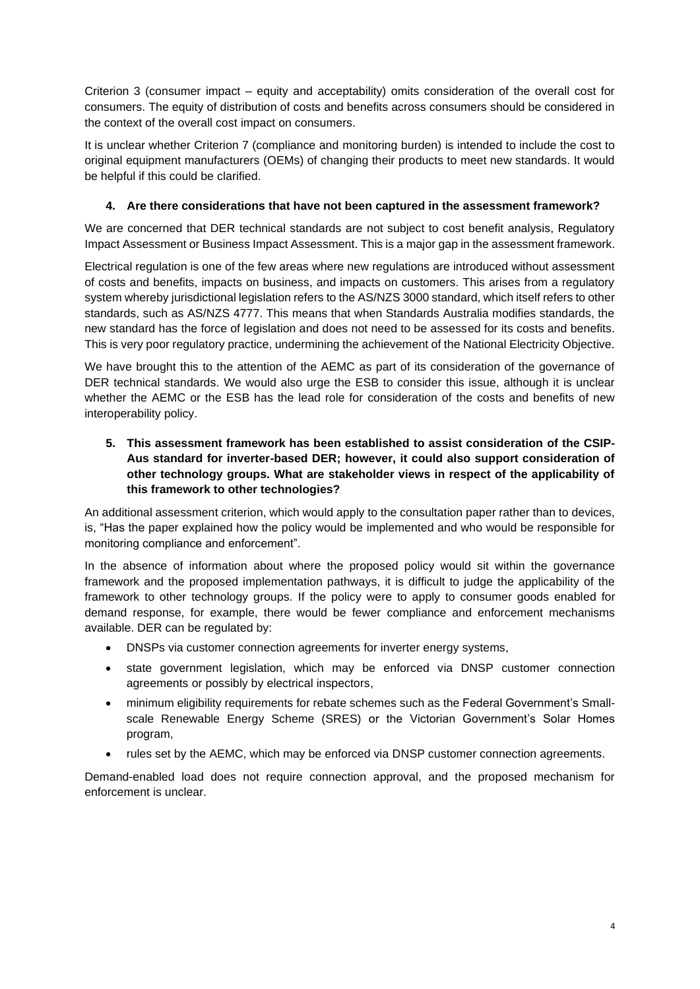Criterion 3 (consumer impact – equity and acceptability) omits consideration of the overall cost for consumers. The equity of distribution of costs and benefits across consumers should be considered in the context of the overall cost impact on consumers.

It is unclear whether Criterion 7 (compliance and monitoring burden) is intended to include the cost to original equipment manufacturers (OEMs) of changing their products to meet new standards. It would be helpful if this could be clarified.

# **4. Are there considerations that have not been captured in the assessment framework?**

We are concerned that DER technical standards are not subject to cost benefit analysis, Regulatory Impact Assessment or Business Impact Assessment. This is a major gap in the assessment framework.

Electrical regulation is one of the few areas where new regulations are introduced without assessment of costs and benefits, impacts on business, and impacts on customers. This arises from a regulatory system whereby jurisdictional legislation refers to the AS/NZS 3000 standard, which itself refers to other standards, such as AS/NZS 4777. This means that when Standards Australia modifies standards, the new standard has the force of legislation and does not need to be assessed for its costs and benefits. This is very poor regulatory practice, undermining the achievement of the National Electricity Objective.

We have brought this to the attention of the AEMC as part of its consideration of the governance of DER technical standards. We would also urge the ESB to consider this issue, although it is unclear whether the AEMC or the ESB has the lead role for consideration of the costs and benefits of new interoperability policy.

**5. This assessment framework has been established to assist consideration of the CSIP-Aus standard for inverter-based DER; however, it could also support consideration of other technology groups. What are stakeholder views in respect of the applicability of this framework to other technologies?**

An additional assessment criterion, which would apply to the consultation paper rather than to devices, is, "Has the paper explained how the policy would be implemented and who would be responsible for monitoring compliance and enforcement".

In the absence of information about where the proposed policy would sit within the governance framework and the proposed implementation pathways, it is difficult to judge the applicability of the framework to other technology groups. If the policy were to apply to consumer goods enabled for demand response, for example, there would be fewer compliance and enforcement mechanisms available. DER can be regulated by:

- DNSPs via customer connection agreements for inverter energy systems,
- state government legislation, which may be enforced via DNSP customer connection agreements or possibly by electrical inspectors,
- minimum eligibility requirements for rebate schemes such as the Federal Government's Smallscale Renewable Energy Scheme (SRES) or the Victorian Government's Solar Homes program,
- rules set by the AEMC, which may be enforced via DNSP customer connection agreements.

Demand-enabled load does not require connection approval, and the proposed mechanism for enforcement is unclear.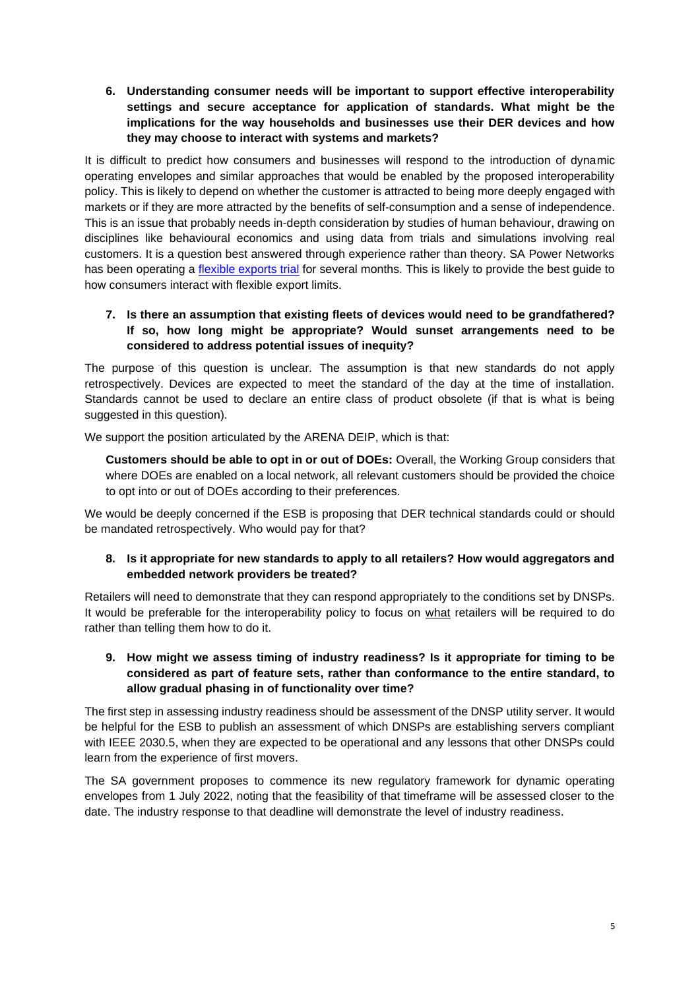**6. Understanding consumer needs will be important to support effective interoperability settings and secure acceptance for application of standards. What might be the implications for the way households and businesses use their DER devices and how they may choose to interact with systems and markets?**

It is difficult to predict how consumers and businesses will respond to the introduction of dynamic operating envelopes and similar approaches that would be enabled by the proposed interoperability policy. This is likely to depend on whether the customer is attracted to being more deeply engaged with markets or if they are more attracted by the benefits of self-consumption and a sense of independence. This is an issue that probably needs in-depth consideration by studies of human behaviour, drawing on disciplines like behavioural economics and using data from trials and simulations involving real customers. It is a question best answered through experience rather than theory. SA Power Networks has been operating a [flexible exports trial](https://aus01.safelinks.protection.outlook.com/?url=https%3A%2F%2Femails.engagementhq.com%2Fls%2Fclick%3Fupn%3D9vcdD193qA8wVAWAMcxkDRCHvoeflO6QV6JwVWO6NkQgI8tUgjCKY96132uPb2Ds0bfh6Gyci7dOsU-2FrHKhjNFOrTqDZOrujpXV3M4ItjxDKrgnNoOri-2B-2Ffvb2yFtXFq4YaJXrnYpmhs8xutaoy5Sx-2BJvSgQacNdBuD08PeSeuz3tGRsAwbZAjk-2F4M1EoaViPCjn8KNHHIZUJEvN5TYymD-2BJ3y2hG0J0y6mWCJBS0qc5mfdodkInXHOAhyqioB4I-2B93h-2B0NS5JKtlzsV4BQDun-2FTv5a6oxDCrmahE2EEK5v98BBWfPs6AYZ1kn4DBtJ1QmvoFyVkG-2F3rk29ImWLgr4NxgWViLu7FLZz3MBHvwc51vOWAmHHEQq2EkdRBby6qwCZa_XXP5oYdlu-2FNrF1ETxIQB-2BqnZDlawHcLxOiO9W9NNjUJwM1iiC2wNGEqN-2F2xz5KtEx3lKc0BqInpXDLPGJiOeP0MfIYfRUn3zIspuXF-2BQZnivdadBTB-2BQOBLylJE0epNeedVB2lNjz-2F5RLuzYHCux0B8hl9OlwA58wOYNUQ6p6TYDs5s0P2J8WceJrPW1wM2yr1gSxKBZxxh7Wy-2F7Zrl-2FZZk0CCKxhwJDTRZY4yqjr3hHXcuvnxQhGWHZhe7jvsk0ublin6wnsR9U2bu5RhPQNBJExe1K8gwsmncmKvlItC4-3D&data=04%7C01%7Cdgladman%40cleanenergycouncil.org.au%7C6c0364237e4d4eb18ac608d9e48264b2%7Cba563343fb554793949ae252d6714fa3%7C0%7C0%7C637792070951621365%7CUnknown%7CTWFpbGZsb3d8eyJWIjoiMC4wLjAwMDAiLCJQIjoiV2luMzIiLCJBTiI6Ik1haWwiLCJXVCI6Mn0%3D%7C3000&sdata=roqnln6EYGzNtJ4wGxrqWJGuqVqIoBD%2BcZy0IsTctYA%3D&reserved=0) for several months. This is likely to provide the best guide to how consumers interact with flexible export limits.

## **7. Is there an assumption that existing fleets of devices would need to be grandfathered? If so, how long might be appropriate? Would sunset arrangements need to be considered to address potential issues of inequity?**

The purpose of this question is unclear. The assumption is that new standards do not apply retrospectively. Devices are expected to meet the standard of the day at the time of installation. Standards cannot be used to declare an entire class of product obsolete (if that is what is being suggested in this question).

We support the position articulated by the ARENA DEIP, which is that:

**Customers should be able to opt in or out of DOEs:** Overall, the Working Group considers that where DOEs are enabled on a local network, all relevant customers should be provided the choice to opt into or out of DOEs according to their preferences.

We would be deeply concerned if the ESB is proposing that DER technical standards could or should be mandated retrospectively. Who would pay for that?

#### **8. Is it appropriate for new standards to apply to all retailers? How would aggregators and embedded network providers be treated?**

Retailers will need to demonstrate that they can respond appropriately to the conditions set by DNSPs. It would be preferable for the interoperability policy to focus on what retailers will be required to do rather than telling them how to do it.

## **9. How might we assess timing of industry readiness? Is it appropriate for timing to be considered as part of feature sets, rather than conformance to the entire standard, to allow gradual phasing in of functionality over time?**

The first step in assessing industry readiness should be assessment of the DNSP utility server. It would be helpful for the ESB to publish an assessment of which DNSPs are establishing servers compliant with IEEE 2030.5, when they are expected to be operational and any lessons that other DNSPs could learn from the experience of first movers.

The SA government proposes to commence its new regulatory framework for dynamic operating envelopes from 1 July 2022, noting that the feasibility of that timeframe will be assessed closer to the date. The industry response to that deadline will demonstrate the level of industry readiness.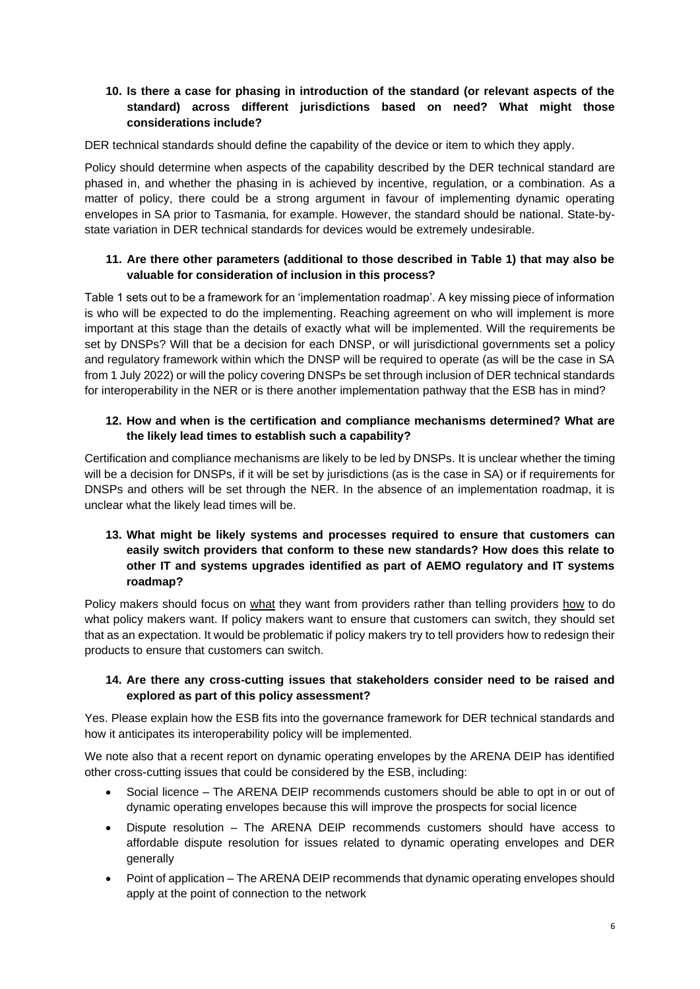## **10. Is there a case for phasing in introduction of the standard (or relevant aspects of the standard) across different jurisdictions based on need? What might those considerations include?**

DER technical standards should define the capability of the device or item to which they apply.

Policy should determine when aspects of the capability described by the DER technical standard are phased in, and whether the phasing in is achieved by incentive, regulation, or a combination. As a matter of policy, there could be a strong argument in favour of implementing dynamic operating envelopes in SA prior to Tasmania, for example. However, the standard should be national. State-bystate variation in DER technical standards for devices would be extremely undesirable.

# **11. Are there other parameters (additional to those described in Table 1) that may also be valuable for consideration of inclusion in this process?**

Table 1 sets out to be a framework for an 'implementation roadmap'. A key missing piece of information is who will be expected to do the implementing. Reaching agreement on who will implement is more important at this stage than the details of exactly what will be implemented. Will the requirements be set by DNSPs? Will that be a decision for each DNSP, or will jurisdictional governments set a policy and regulatory framework within which the DNSP will be required to operate (as will be the case in SA from 1 July 2022) or will the policy covering DNSPs be set through inclusion of DER technical standards for interoperability in the NER or is there another implementation pathway that the ESB has in mind?

# **12. How and when is the certification and compliance mechanisms determined? What are the likely lead times to establish such a capability?**

Certification and compliance mechanisms are likely to be led by DNSPs. It is unclear whether the timing will be a decision for DNSPs, if it will be set by jurisdictions (as is the case in SA) or if requirements for DNSPs and others will be set through the NER. In the absence of an implementation roadmap, it is unclear what the likely lead times will be.

# **13. What might be likely systems and processes required to ensure that customers can easily switch providers that conform to these new standards? How does this relate to other IT and systems upgrades identified as part of AEMO regulatory and IT systems roadmap?**

Policy makers should focus on what they want from providers rather than telling providers how to do what policy makers want. If policy makers want to ensure that customers can switch, they should set that as an expectation. It would be problematic if policy makers try to tell providers how to redesign their products to ensure that customers can switch.

#### **14. Are there any cross-cutting issues that stakeholders consider need to be raised and explored as part of this policy assessment?**

Yes. Please explain how the ESB fits into the governance framework for DER technical standards and how it anticipates its interoperability policy will be implemented.

We note also that a recent report on dynamic operating envelopes by the ARENA DEIP has identified other cross-cutting issues that could be considered by the ESB, including:

- Social licence The ARENA DEIP recommends customers should be able to opt in or out of dynamic operating envelopes because this will improve the prospects for social licence
- Dispute resolution The ARENA DEIP recommends customers should have access to affordable dispute resolution for issues related to dynamic operating envelopes and DER generally
- Point of application The ARENA DEIP recommends that dynamic operating envelopes should apply at the point of connection to the network